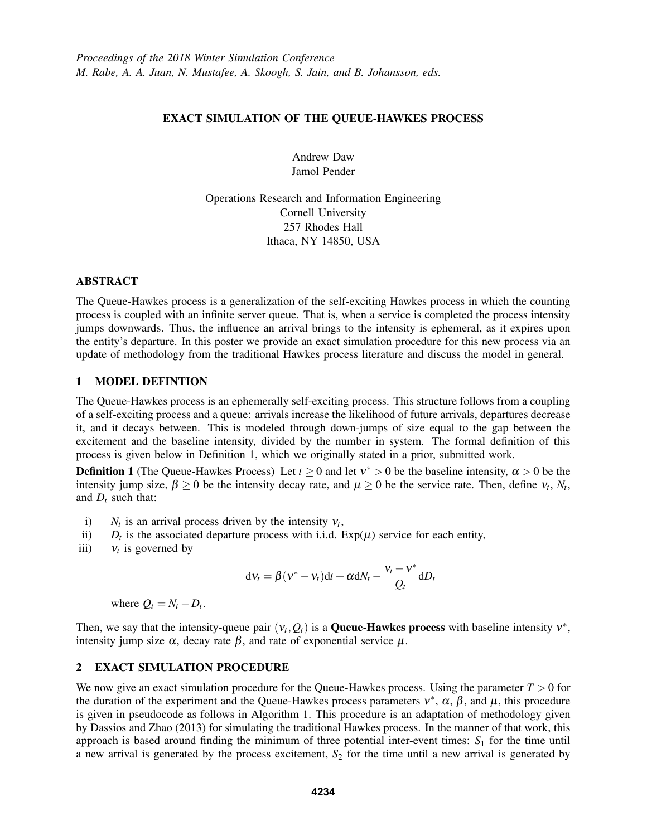# EXACT SIMULATION OF THE QUEUE-HAWKES PROCESS

Andrew Daw Jamol Pender

Operations Research and Information Engineering Cornell University 257 Rhodes Hall Ithaca, NY 14850, USA

### ABSTRACT

The Queue-Hawkes process is a generalization of the self-exciting Hawkes process in which the counting process is coupled with an infinite server queue. That is, when a service is completed the process intensity jumps downwards. Thus, the influence an arrival brings to the intensity is ephemeral, as it expires upon the entity's departure. In this poster we provide an exact simulation procedure for this new process via an update of methodology from the traditional Hawkes process literature and discuss the model in general.

# 1 MODEL DEFINTION

The Queue-Hawkes process is an ephemerally self-exciting process. This structure follows from a coupling of a self-exciting process and a queue: arrivals increase the likelihood of future arrivals, departures decrease it, and it decays between. This is modeled through down-jumps of size equal to the gap between the excitement and the baseline intensity, divided by the number in system. The formal definition of this process is given below in Definition 1, which we originally stated in a prior, submitted work.

**Definition 1** (The Queue-Hawkes Process) Let  $t \ge 0$  and let  $v^* > 0$  be the baseline intensity,  $\alpha > 0$  be the intensity jump size,  $\beta \ge 0$  be the intensity decay rate, and  $\mu \ge 0$  be the service rate. Then, define  $v_t$ ,  $N_t$ , and  $D_t$  such that:

- i)  $N_t$  is an arrival process driven by the intensity  $V_t$ ,
- ii)  $D_t$  is the associated departure process with i.i.d.  $Exp(\mu)$  service for each entity,
- iii)  $v_t$  is governed by

$$
dV_t = \beta (v^* - v_t)dt + \alpha dN_t - \frac{v_t - v^*}{Q_t}dD_t
$$

where  $Q_t = N_t - D_t$ .

Then, we say that the intensity-queue pair  $(v_t, Q_t)$  is a **Queue-Hawkes process** with baseline intensity  $v^*$ , intensity jump size  $\alpha$ , decay rate  $\beta$ , and rate of exponential service  $\mu$ .

## 2 EXACT SIMULATION PROCEDURE

We now give an exact simulation procedure for the Queue-Hawkes process. Using the parameter  $T > 0$  for the duration of the experiment and the Queue-Hawkes process parameters  $v^*$ ,  $\alpha$ ,  $\beta$ , and  $\mu$ , this procedure is given in pseudocode as follows in Algorithm 1. This procedure is an adaptation of methodology given by Dassios and Zhao (2013) for simulating the traditional Hawkes process. In the manner of that work, this approach is based around finding the minimum of three potential inter-event times: *S*<sup>1</sup> for the time until a new arrival is generated by the process excitement, *S*<sup>2</sup> for the time until a new arrival is generated by